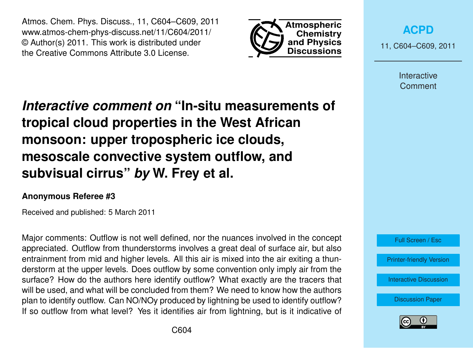Atmos. Chem. Phys. Discuss., 11, C604–C609, 2011 www.atmos-chem-phys-discuss.net/11/C604/2011/ © Author(s) 2011. This work is distributed under the Creative Commons Attribute 3.0 License.



**[ACPD](http://www.atmos-chem-phys-discuss.net)**

11, C604–C609, 2011

Interactive **Comment** 

*Interactive comment on* **"In-situ measurements of tropical cloud properties in the West African monsoon: upper tropospheric ice clouds, mesoscale convective system outflow, and subvisual cirrus"** *by* **W. Frey et al.**

## **Anonymous Referee #3**

Received and published: 5 March 2011

Major comments: Outflow is not well defined, nor the nuances involved in the concept appreciated. Outflow from thunderstorms involves a great deal of surface air, but also entrainment from mid and higher levels. All this air is mixed into the air exiting a thunderstorm at the upper levels. Does outflow by some convention only imply air from the surface? How do the authors here identify outflow? What exactly are the tracers that will be used, and what will be concluded from them? We need to know how the authors plan to identify outflow. Can NO/NOy produced by lightning be used to identify outflow? If so outflow from what level? Yes it identifies air from lightning, but is it indicative of



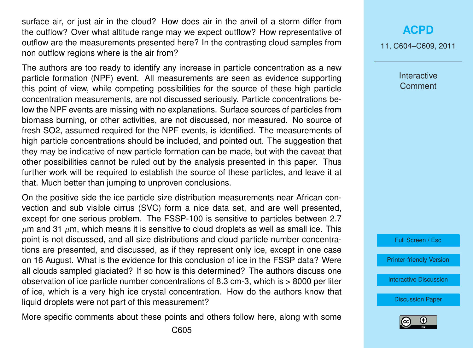surface air, or just air in the cloud? How does air in the anvil of a storm differ from the outflow? Over what altitude range may we expect outflow? How representative of outflow are the measurements presented here? In the contrasting cloud samples from non outflow regions where is the air from?

The authors are too ready to identify any increase in particle concentration as a new particle formation (NPF) event. All measurements are seen as evidence supporting this point of view, while competing possibilities for the source of these high particle concentration measurements, are not discussed seriously. Particle concentrations below the NPF events are missing with no explanations. Surface sources of particles from biomass burning, or other activities, are not discussed, nor measured. No source of fresh SO2, assumed required for the NPF events, is identified. The measurements of high particle concentrations should be included, and pointed out. The suggestion that they may be indicative of new particle formation can be made, but with the caveat that other possibilities cannot be ruled out by the analysis presented in this paper. Thus further work will be required to establish the source of these particles, and leave it at that. Much better than jumping to unproven conclusions.

On the positive side the ice particle size distribution measurements near African convection and sub visible cirrus (SVC) form a nice data set, and are well presented, except for one serious problem. The FSSP-100 is sensitive to particles between 2.7  $\mu$ m and 31  $\mu$ m, which means it is sensitive to cloud droplets as well as small ice. This point is not discussed, and all size distributions and cloud particle number concentrations are presented, and discussed, as if they represent only ice, except in one case on 16 August. What is the evidence for this conclusion of ice in the FSSP data? Were all clouds sampled glaciated? If so how is this determined? The authors discuss one observation of ice particle number concentrations of 8.3 cm-3, which is > 8000 per liter of ice, which is a very high ice crystal concentration. How do the authors know that liquid droplets were not part of this measurement?

More specific comments about these points and others follow here, along with some

## **[ACPD](http://www.atmos-chem-phys-discuss.net)**

11, C604–C609, 2011

Interactive **Comment** 



[Printer-friendly Version](http://www.atmos-chem-phys-discuss.net/11/C604/2011/acpd-11-C604-2011-print.pdf)

[Interactive Discussion](http://www.atmos-chem-phys-discuss.net/11/745/2011/acpd-11-745-2011-discussion.html)

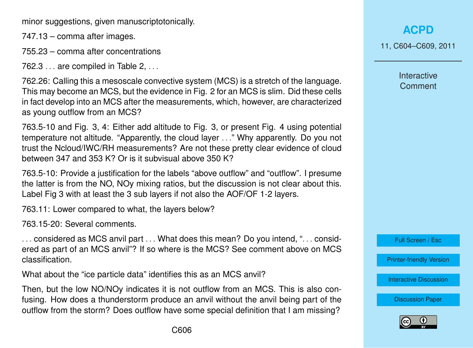minor suggestions, given manuscriptotonically.

747.13 – comma after images.

755.23 – comma after concentrations

 $762.3...$  are compiled in Table 2,  $\dots$ 

762.26: Calling this a mesoscale convective system (MCS) is a stretch of the language. This may become an MCS, but the evidence in Fig. 2 for an MCS is slim. Did these cells in fact develop into an MCS after the measurements, which, however, are characterized as young outflow from an MCS?

763.5-10 and Fig. 3, 4: Either add altitude to Fig. 3, or present Fig. 4 using potential temperature not altitude. "Apparently, the cloud layer . . ." Why apparently. Do you not trust the Ncloud/IWC/RH measurements? Are not these pretty clear evidence of cloud between 347 and 353 K? Or is it subvisual above 350 K?

763.5-10: Provide a justification for the labels "above outflow" and "outflow". I presume the latter is from the NO, NOy mixing ratios, but the discussion is not clear about this. Label Fig 3 with at least the 3 sub layers if not also the AOF/OF 1-2 layers.

763.11: Lower compared to what, the layers below?

763.15-20: Several comments.

... considered as MCS anvil part ... What does this mean? Do you intend, "... considered as part of an MCS anvil"? If so where is the MCS? See comment above on MCS classification.

What about the "ice particle data" identifies this as an MCS anvil?

Then, but the low NO/NOy indicates it is not outflow from an MCS. This is also confusing. How does a thunderstorm produce an anvil without the anvil being part of the outflow from the storm? Does outflow have some special definition that I am missing?

11, C604–C609, 2011

Interactive **Comment** 

Full Screen / Esc

[Printer-friendly Version](http://www.atmos-chem-phys-discuss.net/11/C604/2011/acpd-11-C604-2011-print.pdf)

[Interactive Discussion](http://www.atmos-chem-phys-discuss.net/11/745/2011/acpd-11-745-2011-discussion.html)

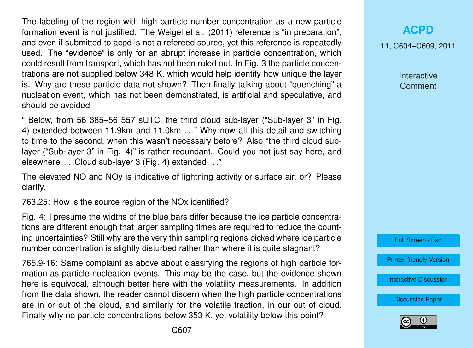The labeling of the region with high particle number concentration as a new particle formation event is not justified. The Weigel et al. (2011) reference is "in preparation", and even if submitted to acpd is not a refereed source, yet this reference is repeatedly used. The "evidence" is only for an abrupt increase in particle concentration, which could result from transport, which has not been ruled out. In Fig. 3 the particle concentrations are not supplied below 348 K, which would help identify how unique the layer is. Why are these particle data not shown? Then finally talking about "quenching" a nucleation event, which has not been demonstrated, is artificial and speculative, and should be avoided.

" Below, from 56 385–56 557 sUTC, the third cloud sub-layer ("Sub-layer 3" in Fig. 4) extended between 11.9km and 11.0km . . ." Why now all this detail and switching to time to the second, when this wasn't necessary before? Also "the third cloud sublayer ("Sub-layer 3" in Fig. 4)" is rather redundant. Could you not just say here, and elsewhere, . . .Cloud sub-layer 3 (Fig. 4) extended . . ."

The elevated NO and NOy is indicative of lightning activity or surface air, or? Please clarify.

763.25: How is the source region of the NOx identified?

Fig. 4: I presume the widths of the blue bars differ because the ice particle concentrations are different enough that larger sampling times are required to reduce the counting uncertainties? Still why are the very thin sampling regions picked where ice particle number concentration is slightly disturbed rather than where it is quite stagnant?

765.9-16: Same complaint as above about classifying the regions of high particle formation as particle nucleation events. This may be the case, but the evidence shown here is equivocal, although better here with the volatility measurements. In addition from the data shown, the reader cannot discern when the high particle concentrations are in or out of the cloud, and similarly for the volatile fraction, in our out of cloud. Finally why no particle concentrations below 353 K, yet volatility below this point?

## **[ACPD](http://www.atmos-chem-phys-discuss.net)**

11, C604–C609, 2011

Interactive **Comment** 



[Printer-friendly Version](http://www.atmos-chem-phys-discuss.net/11/C604/2011/acpd-11-C604-2011-print.pdf)

[Interactive Discussion](http://www.atmos-chem-phys-discuss.net/11/745/2011/acpd-11-745-2011-discussion.html)

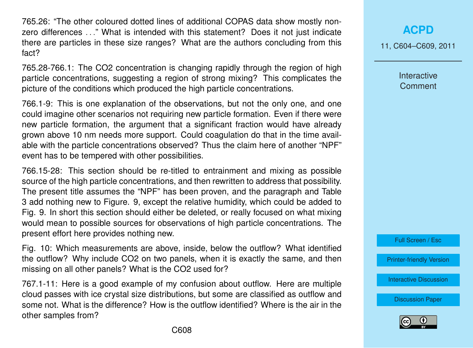765.26: "The other coloured dotted lines of additional COPAS data show mostly nonzero differences . . ." What is intended with this statement? Does it not just indicate there are particles in these size ranges? What are the authors concluding from this fact?

765.28-766.1: The CO2 concentration is changing rapidly through the region of high particle concentrations, suggesting a region of strong mixing? This complicates the picture of the conditions which produced the high particle concentrations.

766.1-9: This is one explanation of the observations, but not the only one, and one could imagine other scenarios not requiring new particle formation. Even if there were new particle formation, the argument that a significant fraction would have already grown above 10 nm needs more support. Could coagulation do that in the time available with the particle concentrations observed? Thus the claim here of another "NPF" event has to be tempered with other possibilities.

766.15-28: This section should be re-titled to entrainment and mixing as possible source of the high particle concentrations, and then rewritten to address that possibility. The present title assumes the "NPF" has been proven, and the paragraph and Table 3 add nothing new to Figure. 9, except the relative humidity, which could be added to Fig. 9. In short this section should either be deleted, or really focused on what mixing would mean to possible sources for observations of high particle concentrations. The present effort here provides nothing new.

Fig. 10: Which measurements are above, inside, below the outflow? What identified the outflow? Why include CO2 on two panels, when it is exactly the same, and then missing on all other panels? What is the CO2 used for?

767.1-11: Here is a good example of my confusion about outflow. Here are multiple cloud passes with ice crystal size distributions, but some are classified as outflow and some not. What is the difference? How is the outflow identified? Where is the air in the other samples from?

**[ACPD](http://www.atmos-chem-phys-discuss.net)**

11, C604–C609, 2011

Interactive **Comment** 

Full Screen / Esc

[Printer-friendly Version](http://www.atmos-chem-phys-discuss.net/11/C604/2011/acpd-11-C604-2011-print.pdf)

[Interactive Discussion](http://www.atmos-chem-phys-discuss.net/11/745/2011/acpd-11-745-2011-discussion.html)